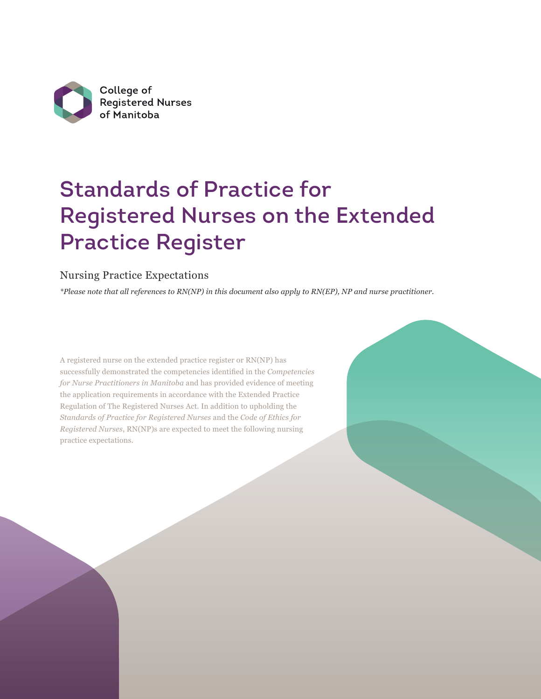

# Standards of Practice for Registered Nurses on the Extended Practice Register

# Nursing Practice Expectations

*\*Please note that all references to RN(NP) in this document also apply to RN(EP), NP and nurse practitioner.*

A registered nurse on the extended practice register or RN(NP) has successfully demonstrated the competencies identified in the *Competencies for Nurse Practitioners in Manitoba* and has provided evidence of meeting the application requirements in accordance with the Extended Practice Regulation of The Registered Nurses Act. In addition to upholding the *Standards of Practice for Registered Nurses* and the *Code of Ethics for Registered Nurses*, RN(NP)s are expected to meet the following nursing practice expectations.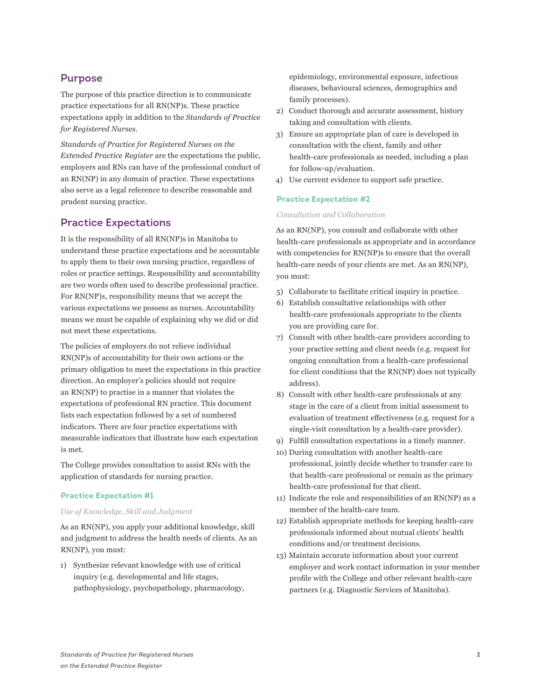# Purpose

The purpose of this practice direction is to communicate practice expectations for all RN(NP)s. These practice expectations apply in addition to the *Standards of Practice for Registered Nurses*.

*Standards of Practice for Registered Nurses on the Extended Practice Register* are the expectations the public, employers and RNs can have of the professional conduct of an RN(NP) in any domain of practice. These expectations also serve as a legal reference to describe reasonable and prudent nursing practice.

# Practice Expectations

It is the responsibility of all RN(NP)s in Manitoba to understand these practice expectations and be accountable to apply them to their own nursing practice, regardless of roles or practice settings. Responsibility and accountability are two words often used to describe professional practice. For RN(NP)s, responsibility means that we accept the various expectations we possess as nurses. Accountability means we must be capable of explaining why we did or did not meet these expectations.

The policies of employers do not relieve individual RN(NP)s of accountability for their own actions or the primary obligation to meet the expectations in this practice direction. An employer's policies should not require an RN(NP) to practise in a manner that violates the expectations of professional RN practice. This document lists each expectation followed by a set of numbered indicators. There are four practice expectations with measurable indicators that illustrate how each expectation is met.

The College provides consultation to assist RNs with the application of standards for nursing practice.

# **Practice Expectation #1**

# *Use of Knowledge, Skill and Judgment*

As an RN(NP), you apply your additional knowledge, skill and judgment to address the health needs of clients. As an RN(NP), you must:

1) Synthesize relevant knowledge with use of critical inquiry (e.g. developmental and life stages, pathophysiology, psychopathology, pharmacology, epidemiology, environmental exposure, infectious diseases, behavioural sciences, demographics and family processes).

- 2) Conduct thorough and accurate assessment, history taking and consultation with clients.
- 3) Ensure an appropriate plan of care is developed in consultation with the client, family and other health-care professionals as needed, including a plan for follow-up/evaluation.
- 4) Use current evidence to support safe practice.

# **Practice Expectation #2**

### *Consultation and Collaboration*

As an RN(NP), you consult and collaborate with other health-care professionals as appropriate and in accordance with competencies for RN(NP)s to ensure that the overall health-care needs of your clients are met. As an RN(NP), you must:

- 5) Collaborate to facilitate critical inquiry in practice.
- 6) Establish consultative relationships with other health-care professionals appropriate to the clients you are providing care for.
- 7) Consult with other health-care providers according to your practice setting and client needs (e.g. request for ongoing consultation from a health-care professional for client conditions that the RN(NP) does not typically address).
- 8) Consult with other health-care professionals at any stage in the care of a client from initial assessment to evaluation of treatment effectiveness (e.g. request for a single-visit consultation by a health-care provider).
- 9) Fulfill consultation expectations in a timely manner.
- 10) During consultation with another health-care professional, jointly decide whether to transfer care to that health-care professional or remain as the primary health-care professional for that client.
- 11) Indicate the role and responsibilities of an RN(NP) as a member of the health-care team.
- 12) Establish appropriate methods for keeping health-care professionals informed about mutual clients' health conditions and/or treatment decisions.
- 13) Maintain accurate information about your current employer and work contact information in your member profile with the College and other relevant health-care partners (e.g. Diagnostic Services of Manitoba).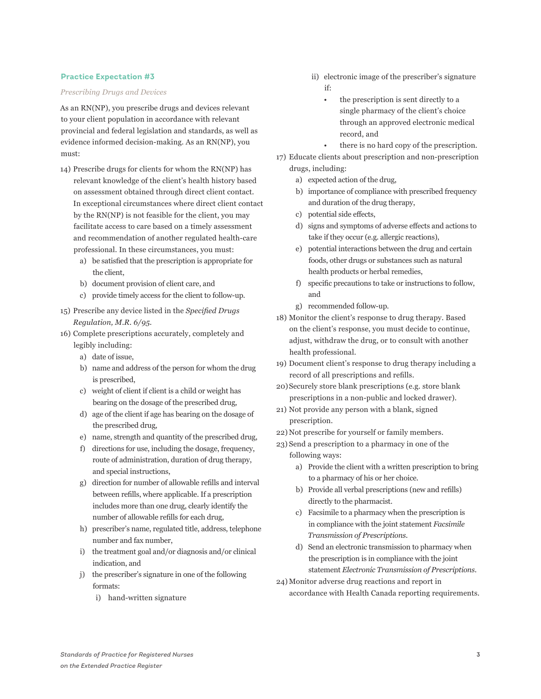# **Practice Expectation #3**

## *Prescribing Drugs and Devices*

As an RN(NP), you prescribe drugs and devices relevant to your client population in accordance with relevant provincial and federal legislation and standards, as well as evidence informed decision-making. As an RN(NP), you must:

- 14) Prescribe drugs for clients for whom the RN(NP) has relevant knowledge of the client's health history based on assessment obtained through direct client contact. In exceptional circumstances where direct client contact by the RN(NP) is not feasible for the client, you may facilitate access to care based on a timely assessment and recommendation of another regulated health-care professional. In these circumstances, you must:
	- a) be satisfied that the prescription is appropriate for the client,
	- b) document provision of client care, and
	- c) provide timely access for the client to follow-up.
- 15) Prescribe any device listed in the *Specified Drugs Regulation, M.R. 6/95*.
- 16) Complete prescriptions accurately, completely and legibly including:
	- a) date of issue,
	- b) name and address of the person for whom the drug is prescribed,
	- c) weight of client if client is a child or weight has bearing on the dosage of the prescribed drug,
	- d) age of the client if age has bearing on the dosage of the prescribed drug,
	- e) name, strength and quantity of the prescribed drug,
	- f) directions for use, including the dosage, frequency, route of administration, duration of drug therapy, and special instructions,
	- g) direction for number of allowable refills and interval between refills, where applicable. If a prescription includes more than one drug, clearly identify the number of allowable refills for each drug,
	- h) prescriber's name, regulated title, address, telephone number and fax number,
	- i) the treatment goal and/or diagnosis and/or clinical indication, and
	- j) the prescriber's signature in one of the following formats:
		- i) hand-written signature
- ii) electronic image of the prescriber's signature if:
	- the prescription is sent directly to a single pharmacy of the client's choice through an approved electronic medical record, and
		- there is no hard copy of the prescription.
- 17) Educate clients about prescription and non-prescription drugs, including:
	- a) expected action of the drug,
	- b) importance of compliance with prescribed frequency and duration of the drug therapy,
	- c) potential side effects,
	- d) signs and symptoms of adverse effects and actions to take if they occur (e.g. allergic reactions),
	- e) potential interactions between the drug and certain foods, other drugs or substances such as natural health products or herbal remedies,
	- f) specific precautions to take or instructions to follow, and
	- g) recommended follow-up.
- 18) Monitor the client's response to drug therapy. Based on the client's response, you must decide to continue, adjust, withdraw the drug, or to consult with another health professional.
- 19) Document client's response to drug therapy including a record of all prescriptions and refills.
- 20)Securely store blank prescriptions (e.g. store blank prescriptions in a non-public and locked drawer).
- 21) Not provide any person with a blank, signed prescription.
- 22) Not prescribe for yourself or family members.
- 23) Send a prescription to a pharmacy in one of the following ways:
	- a) Provide the client with a written prescription to bring to a pharmacy of his or her choice.
	- b) Provide all verbal prescriptions (new and refills) directly to the pharmacist.
	- c) Facsimile to a pharmacy when the prescription is in compliance with the joint statement *Facsimile Transmission of Prescriptions*.
	- d) Send an electronic transmission to pharmacy when the prescription is in compliance with the joint statement *Electronic Transmission of Prescriptions*.
- 24) Monitor adverse drug reactions and report in accordance with Health Canada reporting requirements.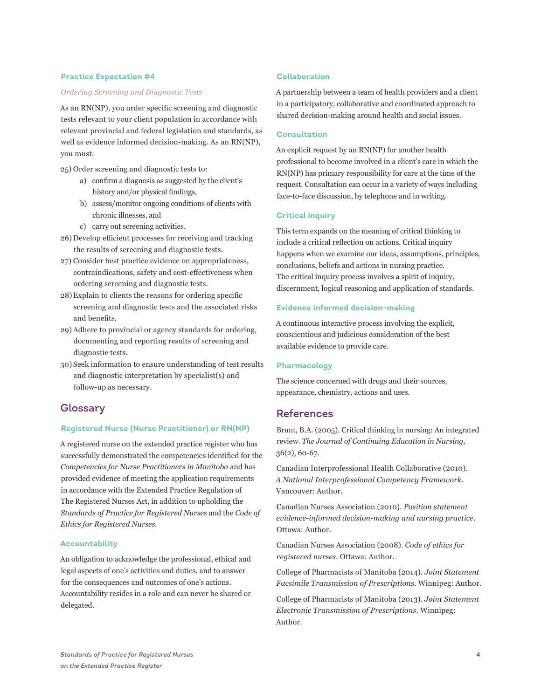# **Practice Expectation #4**

#### *Ordering Screening and Diagnostic Tests*

As an RN(NP), you order specific screening and diagnostic tests relevant to your client population in accordance with relevant provincial and federal legislation and standards, as well as evidence informed decision-making. As an RN(NP), you must:

25) Order screening and diagnostic tests to:

- a) confirm a diagnosis as suggested by the client's history and/or physical findings,
- b) assess/monitor ongoing conditions of clients with chronic illnesses, and
- c) carry out screening activities.
- 26) Develop efficient processes for receiving and tracking the results of screening and diagnostic tests.
- 27) Consider best practice evidence on appropriateness, contraindications, safety and cost-effectiveness when ordering screening and diagnostic tests.
- 28)Explain to clients the reasons for ordering specific screening and diagnostic tests and the associated risks and benefits.
- 29)Adhere to provincial or agency standards for ordering, documenting and reporting results of screening and diagnostic tests.
- 30) Seek information to ensure understanding of test results and diagnostic interpretation by specialist(s) and follow-up as necessary.

# **Glossary**

# **Registered Nurse (Nurse Practitioner) or RN(NP)**

A registered nurse on the extended practice register who has successfully demonstrated the competencies identified for the *Competencies for Nurse Practitioners in Manitoba* and has provided evidence of meeting the application requirements in accordance with the Extended Practice Regulation of The Registered Nurses Act, in addition to upholding the *Standards of Practice for Registered Nurses* and the *Code of Ethics for Registered Nurses.* 

# **Accountability**

An obligation to acknowledge the professional, ethical and legal aspects of one's activities and duties, and to answer for the consequences and outcomes of one's actions. Accountability resides in a role and can never be shared or delegated.

# **Collaboration**

A partnership between a team of health providers and a client in a participatory, collaborative and coordinated approach to shared decision-making around health and social issues.

## **Consultation**

An explicit request by an RN(NP) for another health professional to become involved in a client's care in which the RN(NP) has primary responsibility for care at the time of the request. Consultation can occur in a variety of ways including face-to-face discussion, by telephone and in writing.

# **Critical inquiry**

This term expands on the meaning of critical thinking to include a critical reflection on actions. Critical inquiry happens when we examine our ideas, assumptions, principles, conclusions, beliefs and actions in nursing practice. The critical inquiry process involves a spirit of inquiry, discernment, logical reasoning and application of standards.

#### **Evidence informed decision-making**

A continuous interactive process involving the explicit, conscientious and judicious consideration of the best available evidence to provide care.

# **Pharmacology**

The science concerned with drugs and their sources, appearance, chemistry, actions and uses.

# References

Brunt, B.A. (2005). Critical thinking in nursing: An integrated review. *The Journal of Continuing Education in Nursing*, 36(2), 60-67.

Canadian Interprofessional Health Collaborative (2010). *A National Interprofessional Competency Framework*. Vancouver: Author.

Canadian Nurses Association (2010). *Position statement evidence-informed decision-making and nursing practice*. Ottawa: Author.

Canadian Nurses Association (2008). *Code of ethics for registered nurses*. Ottawa: Author.

College of Pharmacists of Manitoba (2014). *Joint Statement Facsimile Transmission of Prescriptions*. Winnipeg: Author.

College of Pharmacists of Manitoba (2013). *Joint Statement Electronic Transmission of Prescriptions*. Winnipeg: Author.